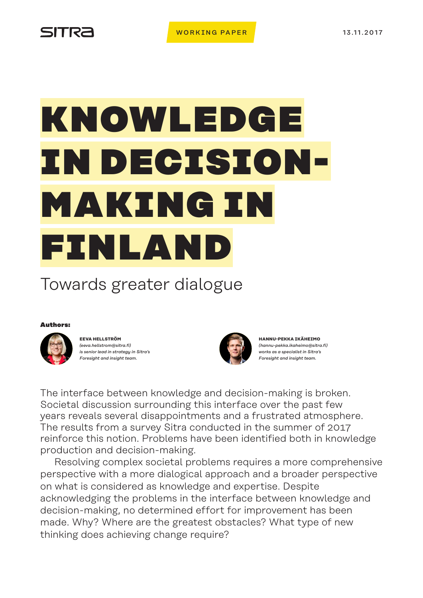# SITRA

# KNOWLEDGE IN DECISION-MAKING IN FINLAN

# Towards greater dialogue

# Authors:



**EEVA HELLSTRÖM** *(eeva.hellstrom@sitra.fi) is senior lead in strategy in Sitra's Foresight and insight team.*



**HANNU-PEKKA IKÄHEIMO**  *(hannu-pekka.ikaheimo@sitra.fi) works as a specialist in Sitra's Foresight and insight team.*

The interface between knowledge and decision-making is broken. Societal discussion surrounding this interface over the past few years reveals several disappointments and a frustrated atmosphere. The results from a survey Sitra conducted in the summer of 2017 reinforce this notion. Problems have been identified both in knowledge production and decision-making.

Resolving complex societal problems requires a more comprehensive perspective with a more dialogical approach and a broader perspective on what is considered as knowledge and expertise. Despite acknowledging the problems in the interface between knowledge and decision-making, no determined effort for improvement has been made. Why? Where are the greatest obstacles? What type of new thinking does achieving change require?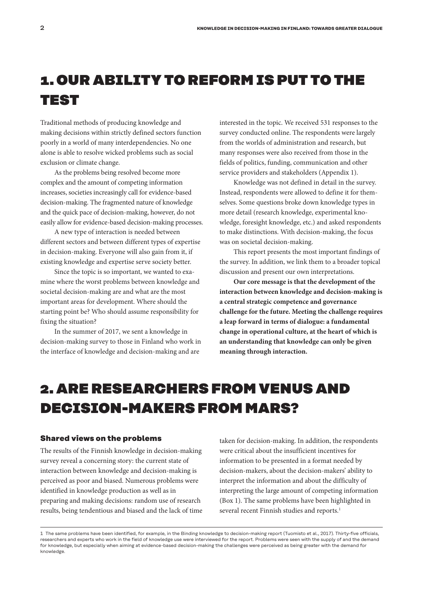# 1. OUR ABILITY TO REFORM IS PUT TO THE TEST

Traditional methods of producing knowledge and making decisions within strictly defined sectors function poorly in a world of many interdependencies. No one alone is able to resolve wicked problems such as social exclusion or climate change.

As the problems being resolved become more complex and the amount of competing information increases, societies increasingly call for evidence-based decision-making. The fragmented nature of knowledge and the quick pace of decision-making, however, do not easily allow for evidence-based decision-making processes.

A new type of interaction is needed between different sectors and between different types of expertise in decision-making. Everyone will also gain from it, if existing knowledge and expertise serve society better.

Since the topic is so important, we wanted to examine where the worst problems between knowledge and societal decision-making are and what are the most important areas for development. Where should the starting point be? Who should assume responsibility for fixing the situation?

In the summer of 2017, we sent a knowledge in decision-making survey to those in Finland who work in the interface of knowledge and decision-making and are

interested in the topic. We received 531 responses to the survey conducted online. The respondents were largely from the worlds of administration and research, but many responses were also received from those in the fields of politics, funding, communication and other service providers and stakeholders (Appendix 1).

Knowledge was not defined in detail in the survey. Instead, respondents were allowed to define it for themselves. Some questions broke down knowledge types in more detail (research knowledge, experimental knowledge, foresight knowledge, etc.) and asked respondents to make distinctions. With decision-making, the focus was on societal decision-making.

This report presents the most important findings of the survey. In addition, we link them to a broader topical discussion and present our own interpretations.

**Our core message is that the development of the interaction between knowledge and decision-making is a central strategic competence and governance challenge for the future. Meeting the challenge requires a leap forward in terms of dialogue: a fundamental change in operational culture, at the heart of which is an understanding that knowledge can only be given meaning through interaction.** 

# 2. ARE RESEARCHERS FROM VENUS AND DECISION-MAKERS FROM MARS?

## **Shared views on the problems**

The results of the Finnish knowledge in decision-making survey reveal a concerning story: the current state of interaction between knowledge and decision-making is perceived as poor and biased. Numerous problems were identified in knowledge production as well as in preparing and making decisions: random use of research results, being tendentious and biased and the lack of time taken for decision-making. In addition, the respondents were critical about the insufficient incentives for information to be presented in a format needed by decision-makers, about the decision-makers' ability to interpret the information and about the difficulty of interpreting the large amount of competing information (Box 1). The same problems have been highlighted in several recent Finnish studies and reports.<sup>1</sup>

<sup>1</sup> The same problems have been identified, for example, in the Binding knowledge to decision-making report (Tuomisto et al., 2017). Thirty-five officials, researchers and experts who work in the field of knowledge use were interviewed for the report. Problems were seen with the supply of and the demand for knowledge, but especially when aiming at evidence-based decision-making the challenges were perceived as being greater with the demand for knowledge.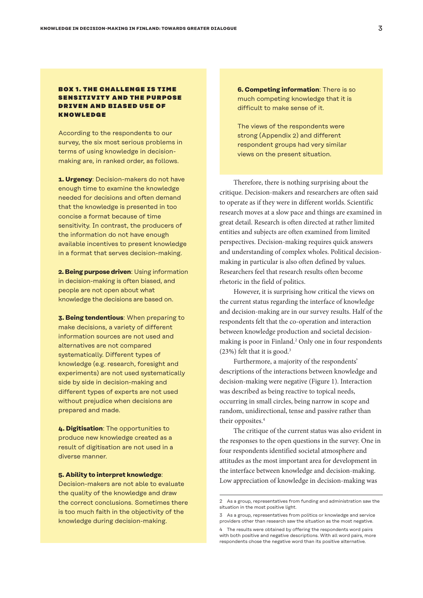# **BOX 1. THE CHALLENGE IS TIME** SENSITIVITY AND THE PURPOSE DRIVEN AND BIASED USE OF KNOWLEDGE

According to the respondents to our survey, the six most serious problems in terms of using knowledge in decisionmaking are, in ranked order, as follows.

**1. Urgency**: Decision-makers do not have enough time to examine the knowledge needed for decisions and often demand that the knowledge is presented in too concise a format because of time sensitivity. In contrast, the producers of the information do not have enough available incentives to present knowledge in a format that serves decision-making.

**2. Being purpose driven**: Using information in decision-making is often biased, and people are not open about what knowledge the decisions are based on.

**3. Being tendentious**: When preparing to make decisions, a variety of different information sources are not used and alternatives are not compared systematically. Different types of knowledge (e.g. research, foresight and experiments) are not used systematically side by side in decision-making and different types of experts are not used without prejudice when decisions are prepared and made.

**4. Digitisation**: The opportunities to produce new knowledge created as a result of digitisation are not used in a diverse manner.

#### **5. Ability to interpret knowledge**:

Decision-makers are not able to evaluate the quality of the knowledge and draw the correct conclusions. Sometimes there is too much faith in the objectivity of the knowledge during decision-making.

**6. Competing information**: There is so much competing knowledge that it is difficult to make sense of it.

The views of the respondents were strong (Appendix 2) and different respondent groups had very similar views on the present situation.

Therefore, there is nothing surprising about the critique. Decision-makers and researchers are often said to operate as if they were in different worlds. Scientific research moves at a slow pace and things are examined in great detail. Research is often directed at rather limited entities and subjects are often examined from limited perspectives. Decision-making requires quick answers and understanding of complex wholes. Political decisionmaking in particular is also often defined by values. Researchers feel that research results often become rhetoric in the field of politics.

However, it is surprising how critical the views on the current status regarding the interface of knowledge and decision-making are in our survey results. Half of the respondents felt that the co-operation and interaction between knowledge production and societal decisionmaking is poor in Finland.<sup>2</sup> Only one in four respondents  $(23%)$  felt that it is good.<sup>3</sup>

Furthermore, a majority of the respondents' descriptions of the interactions between knowledge and decision-making were negative (Figure 1). Interaction was described as being reactive to topical needs, occurring in small circles, being narrow in scope and random, unidirectional, tense and passive rather than their opposites.<sup>4</sup>

The critique of the current status was also evident in the responses to the open questions in the survey. One in four respondents identified societal atmosphere and attitudes as the most important area for development in the interface between knowledge and decision-making. Low appreciation of knowledge in decision-making was

<sup>2</sup> As a group, representatives from funding and administration saw the situation in the most positive light.

<sup>3</sup> As a group, representatives from politics or knowledge and service providers other than research saw the situation as the most negative.

<sup>4</sup> The results were obtained by offering the respondents word pairs with both positive and negative descriptions. With all word pairs, more respondents chose the negative word than its positive alternative.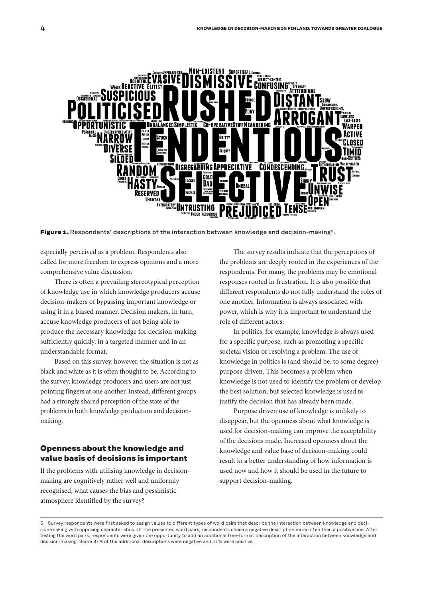

Figure 1. Respondents' descriptions of the interaction between knowledge and decision-making<sup>5</sup>.

especially perceived as a problem. Respondents also called for more freedom to express opinions and a more comprehensive value discussion.

There is often a prevailing stereotypical perception of knowledge use in which knowledge producers accuse decision-makers of bypassing important knowledge or using it in a biased manner. Decision makers, in turn, accuse knowledge producers of not being able to produce the necessary knowledge for decision-making sufficiently quickly, in a targeted manner and in an understandable format.

Based on this survey, however, the situation is not as black and white as it is often thought to be. According to the survey, knowledge producers and users are not just pointing fingers at one another. Instead, different groups had a strongly shared perception of the state of the problems in both knowledge production and decisionmaking.

# **Openness about the knowledge and value basis of decisions is important**

If the problems with utilising knowledge in decisionmaking are cognitively rather well and uniformly recognised, what causes the bias and pessimistic atmosphere identified by the survey?

The survey results indicate that the perceptions of the problems are deeply rooted in the experiences of the respondents. For many, the problems may be emotional responses rooted in frustration. It is also possible that different respondents do not fully understand the roles of one another. Information is always associated with power, which is why it is important to understand the role of different actors.

In politics, for example, knowledge is always used for a specific purpose, such as promoting a specific societal vision or resolving a problem. The use of knowledge in politics is (and should be, to some degree) purpose driven. This becomes a problem when knowledge is not used to identify the problem or develop the best solution, but selected knowledge is used to justify the decision that has already been made.

Purpose driven use of knowledge is unlikely to disappear, but the openness about what knowledge is used for decision-making can improve the acceptability of the decisions made. Increased openness about the knowledge and value base of decision-making could result in a better understanding of how information is used now and how it should be used in the future to support decision-making.

<sup>5</sup> Survey respondents were first asked to assign values to different types of word pairs that describe the interaction between knowledge and decision-making with opposing characteristics. Of the presented word pairs, respondents chose a negative description more often than a positive one. After testing the word pairs, respondents were given the opportunity to add an additional free-format description of the interaction between knowledge and decision-making. Some 87% of the additional descriptions were negative and 11% were positive.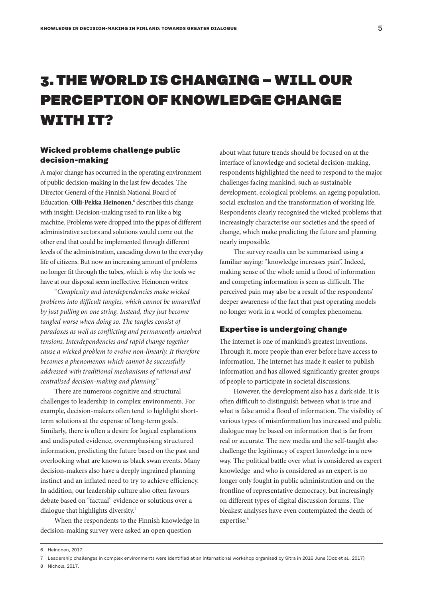# 3. THE WORLD IS CHANGING – WILL OUR PERCEPTION OF KNOWLEDGE CHANGE WITH IT?

# **Wicked problems challenge public decision-making**

A major change has occurred in the operating environment of public decision-making in the last few decades. The Director General of the Finnish National Board of Education, Olli-Pekka Heinonen,<sup>6</sup> describes this change with insight: Decision-making used to run like a big machine. Problems were dropped into the pipes of different administrative sectors and solutions would come out the other end that could be implemented through different levels of the administration, cascading down to the everyday life of citizens. But now an increasing amount of problems no longer fit through the tubes, which is why the tools we have at our disposal seem ineffective. Heinonen writes:

"*Complexity and interdependencies make wicked problems into difficult tangles, which cannot be unravelled by just pulling on one string. Instead, they just become tangled worse when doing so. The tangles consist of paradoxes as well as conflicting and permanently unsolved tensions. Interdependencies and rapid change together cause a wicked problem to evolve non-linearly. It therefore becomes a phenomenon which cannot be successfully addressed with traditional mechanisms of rational and centralised decision-making and planning."*

There are numerous cognitive and structural challenges to leadership in complex environments. For example, decision-makers often tend to highlight shortterm solutions at the expense of long-term goals. Similarly, there is often a desire for logical explanations and undisputed evidence, overemphasising structured information, predicting the future based on the past and overlooking what are known as black swan events. Many decision-makers also have a deeply ingrained planning instinct and an inflated need to try to achieve efficiency. In addition, our leadership culture also often favours debate based on "factual" evidence or solutions over a dialogue that highlights diversity.7

When the respondents to the Finnish knowledge in decision-making survey were asked an open question

about what future trends should be focused on at the interface of knowledge and societal decision-making, respondents highlighted the need to respond to the major challenges facing mankind, such as sustainable development, ecological problems, an ageing population, social exclusion and the transformation of working life. Respondents clearly recognised the wicked problems that increasingly characterise our societies and the speed of change, which make predicting the future and planning nearly impossible.

The survey results can be summarised using a familiar saying: "knowledge increases pain". Indeed, making sense of the whole amid a flood of information and competing information is seen as difficult. The perceived pain may also be a result of the respondents' deeper awareness of the fact that past operating models no longer work in a world of complex phenomena.

# **Expertise is undergoing change**

The internet is one of mankind's greatest inventions. Through it, more people than ever before have access to information. The internet has made it easier to publish information and has allowed significantly greater groups of people to participate in societal discussions.

However, the development also has a dark side. It is often difficult to distinguish between what is true and what is false amid a flood of information. The visibility of various types of misinformation has increased and public dialogue may be based on information that is far from real or accurate. The new media and the self-taught also challenge the legitimacy of expert knowledge in a new way. The political battle over what is considered as expert knowledge and who is considered as an expert is no longer only fought in public administration and on the frontline of representative democracy, but increasingly on different types of digital discussion forums. The bleakest analyses have even contemplated the death of expertise.<sup>8</sup>

<sup>6</sup> Heinonen, 2017.

<sup>7</sup> Leadership challenges in complex environments were identified at an international workshop organised by Sitra in 2016 June (Doz et al., 2017).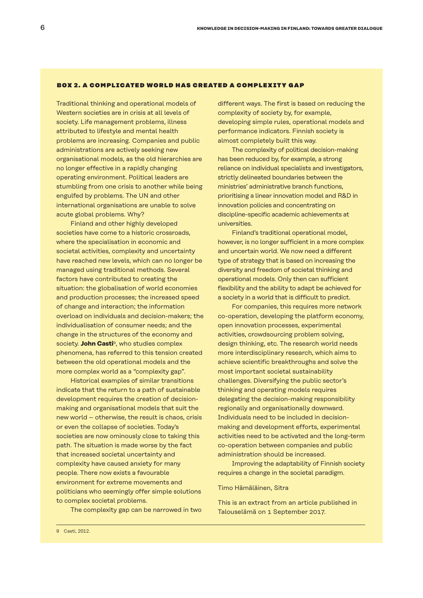#### BOX 2. A COMPLICATED WORLD HAS CREATED A COMPLEXITY GAP

Traditional thinking and operational models of Western societies are in crisis at all levels of society. Life management problems, illness attributed to lifestyle and mental health problems are increasing. Companies and public administrations are actively seeking new organisational models, as the old hierarchies are no longer effective in a rapidly changing operating environment. Political leaders are stumbling from one crisis to another while being engulfed by problems. The UN and other international organisations are unable to solve acute global problems. Why?

Finland and other highly developed societies have come to a historic crossroads, where the specialisation in economic and societal activities, complexity and uncertainty have reached new levels, which can no longer be managed using traditional methods. Several factors have contributed to creating the situation: the globalisation of world economies and production processes; the increased speed of change and interaction; the information overload on individuals and decision-makers; the individualisation of consumer needs; and the change in the structures of the economy and society. **John Casti**9, who studies complex phenomena, has referred to this tension created between the old operational models and the more complex world as a "complexity gap".

Historical examples of similar transitions indicate that the return to a path of sustainable development requires the creation of decisionmaking and organisational models that suit the new world – otherwise, the result is chaos, crisis or even the collapse of societies. Today's societies are now ominously close to taking this path. The situation is made worse by the fact that increased societal uncertainty and complexity have caused anxiety for many people. There now exists a favourable environment for extreme movements and politicians who seemingly offer simple solutions to complex societal problems.

The complexity gap can be narrowed in two

different ways. The first is based on reducing the complexity of society by, for example, developing simple rules, operational models and performance indicators. Finnish society is almost completely built this way.

The complexity of political decision-making has been reduced by, for example, a strong reliance on individual specialists and investigators, strictly delineated boundaries between the ministries' administrative branch functions, prioritising a linear innovation model and R&D in innovation policies and concentrating on discipline-specific academic achievements at universities.

Finland's traditional operational model, however, is no longer sufficient in a more complex and uncertain world. We now need a different type of strategy that is based on increasing the diversity and freedom of societal thinking and operational models. Only then can sufficient flexibility and the ability to adapt be achieved for a society in a world that is difficult to predict.

For companies, this requires more network co-operation, developing the platform economy, open innovation processes, experimental activities, crowdsourcing problem solving, design thinking, etc. The research world needs more interdisciplinary research, which aims to achieve scientific breakthroughs and solve the most important societal sustainability challenges. Diversifying the public sector's thinking and operating models requires delegating the decision-making responsibility regionally and organisationally downward. Individuals need to be included in decisionmaking and development efforts, experimental activities need to be activated and the long-term co-operation between companies and public administration should be increased.

Improving the adaptability of Finnish society requires a change in the societal paradigm.

#### Timo Hämäläinen, Sitra

This is an extract from an article published in Talouselämä on 1 September 2017.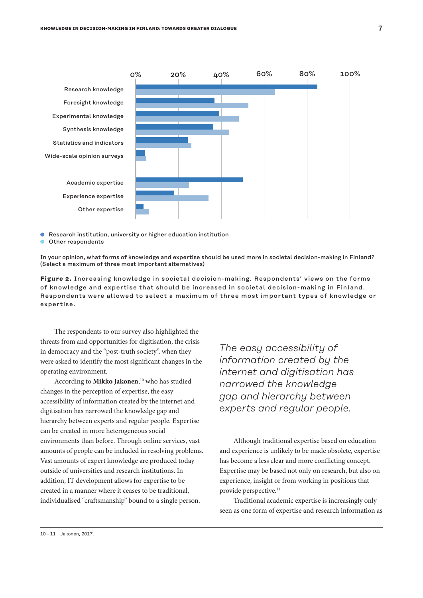

- Research institution, university or higher education institution
- Other respondents

In your opinion, what forms of knowledge and expertise should be used more in societal decision-making in Finland? (Select a maximum of three most important alternatives)

**Figure 2.** Increasing knowledge in societal decision-making. Respondents' views on the forms of knowledge and expertise that should be increased in societal decision-making in Finland. Respondents were allowed to select a maximum of three most important types of knowledge or expertise.

The respondents to our survey also highlighted the threats from and opportunities for digitisation, the crisis in democracy and the "post-truth society", when they were asked to identify the most significant changes in the operating environment.

According to **Mikko Jakonen**, 10 who has studied changes in the perception of expertise, the easy accessibility of information created by the internet and digitisation has narrowed the knowledge gap and hierarchy between experts and regular people. Expertise can be created in more heterogeneous social environments than before. Through online services, vast amounts of people can be included in resolving problems. Vast amounts of expert knowledge are produced today outside of universities and research institutions. In addition, IT development allows for expertise to be created in a manner where it ceases to be traditional, individualised "craftsmanship" bound to a single person.

*The easy accessibility of information created by the internet and digitisation has narrowed the knowledge gap and hierarchy between experts and regular people.*

Although traditional expertise based on education and experience is unlikely to be made obsolete, expertise has become a less clear and more conflicting concept. Expertise may be based not only on research, but also on experience, insight or from working in positions that provide perspective.<sup>11</sup>

Traditional academic expertise is increasingly only seen as one form of expertise and research information as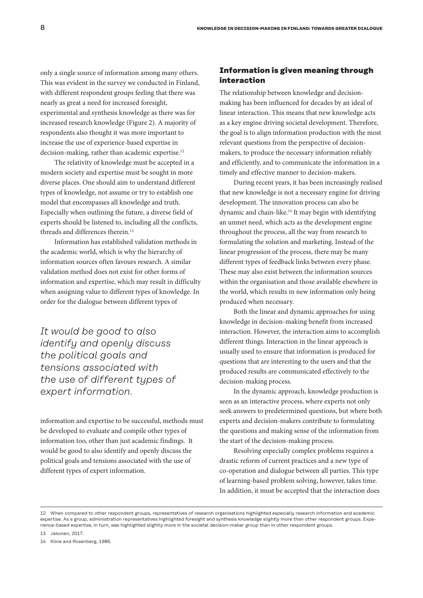only a single source of information among many others. This was evident in the survey we conducted in Finland, with different respondent groups feeling that there was nearly as great a need for increased foresight, experimental and synthesis knowledge as there was for increased research knowledge (Figure 2). A majority of respondents also thought it was more important to increase the use of experience-based expertise in decision-making, rather than academic expertise.<sup>12</sup>

The relativity of knowledge must be accepted in a modern society and expertise must be sought in more diverse places. One should aim to understand different types of knowledge, not assume or try to establish one model that encompasses all knowledge and truth. Especially when outlining the future, a diverse field of experts should be listened to, including all the conflicts, threads and differences therein.<sup>13</sup>

Information has established validation methods in the academic world, which is why the hierarchy of information sources often favours research. A similar validation method does not exist for other forms of information and expertise, which may result in difficulty when assigning value to different types of knowledge. In order for the dialogue between different types of

*It would be good to also identify and openly discuss the political goals and tensions associated with the use of different types of expert information.*

information and expertise to be successful, methods must be developed to evaluate and compile other types of information too, other than just academic findings. It would be good to also identify and openly discuss the political goals and tensions associated with the use of different types of expert information.

# **Information is given meaning through interaction**

The relationship between knowledge and decisionmaking has been influenced for decades by an ideal of linear interaction. This means that new knowledge acts as a key engine driving societal development. Therefore, the goal is to align information production with the most relevant questions from the perspective of decisionmakers, to produce the necessary information reliably and efficiently, and to communicate the information in a timely and effective manner to decision-makers.

During recent years, it has been increasingly realised that new knowledge is not a necessary engine for driving development. The innovation process can also be dynamic and chain-like.14 It may begin with identifying an unmet need, which acts as the development engine throughout the process, all the way from research to formulating the solution and marketing. Instead of the linear progression of the process, there may be many different types of feedback links between every phase. These may also exist between the information sources within the organisation and those available elsewhere in the world, which results in new information only being produced when necessary.

Both the linear and dynamic approaches for using knowledge in decision-making benefit from increased interaction. However, the interaction aims to accomplish different things. Interaction in the linear approach is usually used to ensure that information is produced for questions that are interesting to the users and that the produced results are communicated effectively to the decision-making process.

In the dynamic approach, knowledge production is seen as an interactive process, where experts not only seek answers to predetermined questions, but where both experts and decision-makers contribute to formulating the questions and making sense of the information from the start of the decision-making process.

Resolving especially complex problems requires a drastic reform of current practices and a new type of co-operation and dialogue between all parties. This type of learning-based problem solving, however, takes time. In addition, it must be accepted that the interaction does

<sup>12</sup> When compared to other respondent groups, representatives of research organisations highlighted especially research information and academic expertise. As a group, administration representatives highlighted foresight and synthesis knowledge slightly more than other respondent groups. Experience-based expertise, in turn, was highlighted slightly more in the societal decision-maker group than in other respondent groups.

<sup>13</sup> Jakonen, 2017.

<sup>14</sup> Kline and Rosenberg, 1986.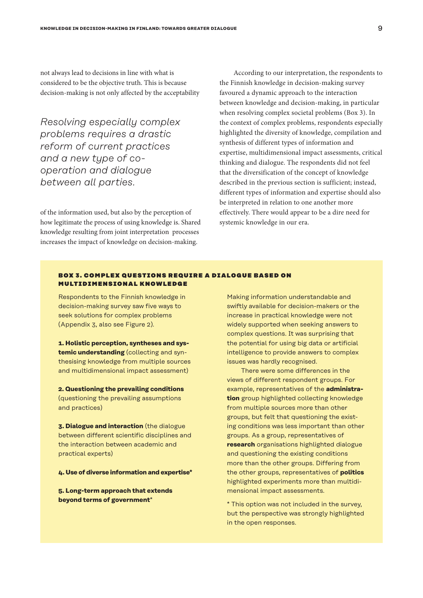not always lead to decisions in line with what is considered to be the objective truth. This is because decision-making is not only affected by the acceptability

*Resolving especially complex problems requires a drastic reform of current practices and a new type of cooperation and dialogue between all parties.*

of the information used, but also by the perception of how legitimate the process of using knowledge is. Shared knowledge resulting from joint interpretation processes increases the impact of knowledge on decision-making.

According to our interpretation, the respondents to the Finnish knowledge in decision-making survey favoured a dynamic approach to the interaction between knowledge and decision-making, in particular when resolving complex societal problems (Box 3). In the context of complex problems, respondents especially highlighted the diversity of knowledge, compilation and synthesis of different types of information and expertise, multidimensional impact assessments, critical thinking and dialogue. The respondents did not feel that the diversification of the concept of knowledge described in the previous section is sufficient; instead, different types of information and expertise should also be interpreted in relation to one another more effectively. There would appear to be a dire need for systemic knowledge in our era.

# BOX 3. COMPLEX QUESTIONS REQUIRE A DIALOGUE BASED ON MULTIDIMENSIONAL KNOWLEDGE

Respondents to the Finnish knowledge in decision-making survey saw five ways to seek solutions for complex problems (Appendix 3, also see Figure 2).

**1. Holistic perception, syntheses and systemic understanding** (collecting and synthesising knowledge from multiple sources and multidimensional impact assessment)

**2. Questioning the prevailing conditions** (questioning the prevailing assumptions and practices)

**3. Dialogue and interaction** (the dialogue between different scientific disciplines and the interaction between academic and practical experts)

**4. Use of diverse information and expertise\***

**5. Long-term approach that extends beyond terms of government**\*

Making information understandable and swiftly available for decision-makers or the increase in practical knowledge were not widely supported when seeking answers to complex questions. It was surprising that the potential for using big data or artificial intelligence to provide answers to complex issues was hardly recognised.

There were some differences in the views of different respondent groups. For example, representatives of the **administration** group highlighted collecting knowledge from multiple sources more than other groups, but felt that questioning the existing conditions was less important than other groups. As a group, representatives of **research** organisations highlighted dialogue and questioning the existing conditions more than the other groups. Differing from the other groups, representatives of **politics**  highlighted experiments more than multidimensional impact assessments.

\* This option was not included in the survey, but the perspective was strongly highlighted in the open responses.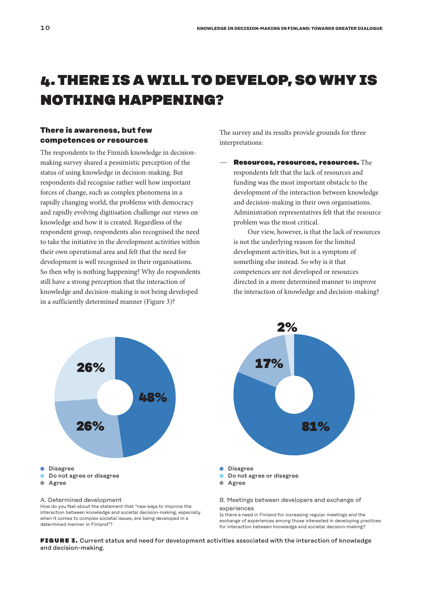# 4. THERE IS A WILL TO DEVELOP, SO WHY IS NOTHING HAPPENING?

# **There is awareness, but few competences or resources**

The respondents to the Finnish knowledge in decisionmaking survey shared a pessimistic perception of the status of using knowledge in decision-making. But respondents did recognise rather well how important forces of change, such as complex phenomena in a rapidly changing world, the problems with democracy and rapidly evolving digitisation challenge our views on knowledge and how it is created. Regardless of the respondent group, respondents also recognised the need to take the initiative in the development activities within their own operational area and felt that the need for development is well recognised in their organisations. So then why is nothing happening? Why do respondents still have a strong perception that the interaction of knowledge and decision-making is not being developed in a sufficiently determined manner (Figure 3)?

The survey and its results provide grounds for three interpretations:

Resources, resources, resources. The respondents felt that the lack of resources and funding was the most important obstacle to the development of the interaction between knowledge and decision-making in their own organisations. Administration representatives felt that the resource problem was the most critical.

Our view, however, is that the lack of resources is not the underlying reason for the limited development activities, but is a symptom of something else instead. So why is it that competences are not developed or resources directed in a more determined manner to improve the interaction of knowledge and decision-making?



How do you feel about the statement that "new ways to improve the interaction between knowledge and societal decision-making, especially when it comes to complex societal issues, are being developed in a determined manner in Finland"?



B. Meetings between developers and exchange of experiences

Is there a need in Finland for increasing regular meetings and the exchange of experiences among those interested in developing practices for interaction between knowledge and societal decision-making?

**FIGURE 3.** Current status and need for development activities associated with the interaction of knowledge and decision-making.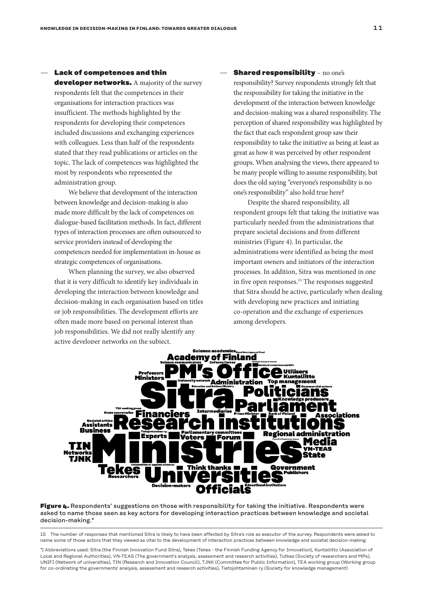# Lack of competences and thin

developer networks. A majority of the survey respondents felt that the competences in their organisations for interaction practices was insufficient. The methods highlighted by the respondents for developing their competences included discussions and exchanging experiences with colleagues. Less than half of the respondents stated that they read publications or articles on the topic. The lack of competences was highlighted the most by respondents who represented the administration group.

We believe that development of the interaction between knowledge and decision-making is also made more difficult by the lack of competences on dialogue-based facilitation methods. In fact, different types of interaction processes are often outsourced to service providers instead of developing the competences needed for implementation in-house as strategic competences of organisations.

When planning the survey, we also observed that it is very difficult to identify key individuals in developing the interaction between knowledge and decision-making in each organisation based on titles or job responsibilities. The development efforts are often made more based on personal interest than job responsibilities. We did not really identify any active developer networks on the subject.

## **Shared responsibility - no one's**

responsibility? Survey respondents strongly felt that the responsibility for taking the initiative in the development of the interaction between knowledge and decision-making was a shared responsibility. The perception of shared responsibility was highlighted by the fact that each respondent group saw their responsibility to take the initiative as being at least as great as how it was perceived by other respondent groups. When analysing the views, there appeared to be many people willing to assume responsibility, but does the old saying "everyone's responsibility is no one's responsibility" also hold true here?

Despite the shared responsibility, all respondent groups felt that taking the initiative was particularly needed from the administrations that prepare societal decisions and from different ministries (Figure 4). In particular, the administrations were identified as being the most important owners and initiators of the interaction processes. In addition, Sitra was mentioned in one in five open responses.<sup>15</sup> The responses suggested that Sitra should be active, particularly when dealing with developing new practices and initiating co-operation and the exchange of experiences among developers.



Figure 4. Respondents' suggestions on those with responsibility for taking the initiative. Respondents were asked to name those seen as key actors for developing interaction practices between knowledge and societal decision-making.\*

15 The number of responses that mentioned Sitra is likely to have been affected by Sitra's role as executor of the survey. Respondents were asked to name some of those actors that they viewed as vital to the development of interaction practices between knowledge and societal decision-making.

\*) Abbreviations used: Sitra (the Finnish Innovation Fund Sitra), Tekes (Tekes - the Finnish Funding Agency for Innovation), Kuntaliitto (Association of Local and Regional Authorities), VN-TEAS (The government's analysis, assessment and research activities), Tutkas (Society of researchers and MPs), UNIFI (Network of universities), TIN (Research and Innovation Council), TJNK (Committee for Public Information), TEA working group (Working group for co-ordinating the governments' analysis, assessment and research activities), Tietojohtaminen ry (Society for knowledge management)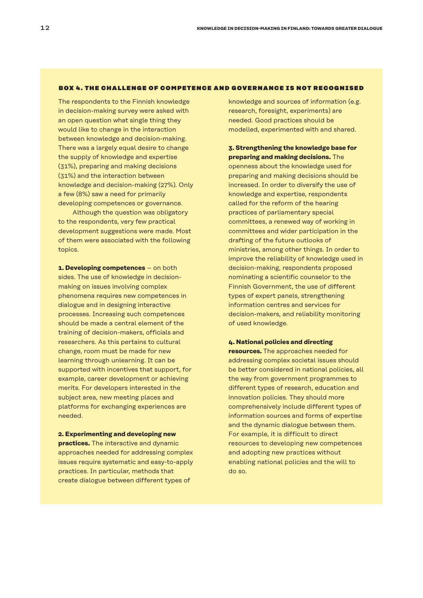#### BOX 4. THE CHALLENGE OF COMPETENCE AND GOVERNANCE IS NOT RECOGNISED

The respondents to the Finnish knowledge in decision-making survey were asked with an open question what single thing they would like to change in the interaction between knowledge and decision-making. There was a largely equal desire to change the supply of knowledge and expertise (31%), preparing and making decisions (31%) and the interaction between knowledge and decision-making (27%). Only a few (8%) saw a need for primarily developing competences or governance.

Although the question was obligatory to the respondents, very few practical development suggestions were made. Most of them were associated with the following topics.

**1. Developing competences** – on both sides. The use of knowledge in decisionmaking on issues involving complex phenomena requires new competences in dialogue and in designing interactive processes. Increasing such competences should be made a central element of the training of decision-makers, officials and researchers. As this pertains to cultural change, room must be made for new learning through unlearning. It can be supported with incentives that support, for example, career development or achieving merits. For developers interested in the subject area, new meeting places and platforms for exchanging experiences are needed.

# **2. Experimenting and developing new practices.** The interactive and dynamic approaches needed for addressing complex issues require systematic and easy-to-apply practices. In particular, methods that create dialogue between different types of

knowledge and sources of information (e.g. research, foresight, experiments) are needed. Good practices should be modelled, experimented with and shared.

# **3. Strengthening the knowledge base for preparing and making decisions.** The

openness about the knowledge used for preparing and making decisions should be increased. In order to diversify the use of knowledge and expertise, respondents called for the reform of the hearing practices of parliamentary special committees, a renewed way of working in committees and wider participation in the drafting of the future outlooks of ministries, among other things. In order to improve the reliability of knowledge used in decision-making, respondents proposed nominating a scientific counselor to the Finnish Government, the use of different types of expert panels, strengthening information centres and services for decision-makers, and reliability monitoring of used knowledge.

#### **4. National policies and directing**

**resources.** The approaches needed for addressing complex societal issues should be better considered in national policies, all the way from government programmes to different types of research, education and innovation policies. They should more comprehensively include different types of information sources and forms of expertise and the dynamic dialogue between them. For example, it is difficult to direct resources to developing new competences and adopting new practices without enabling national policies and the will to do so.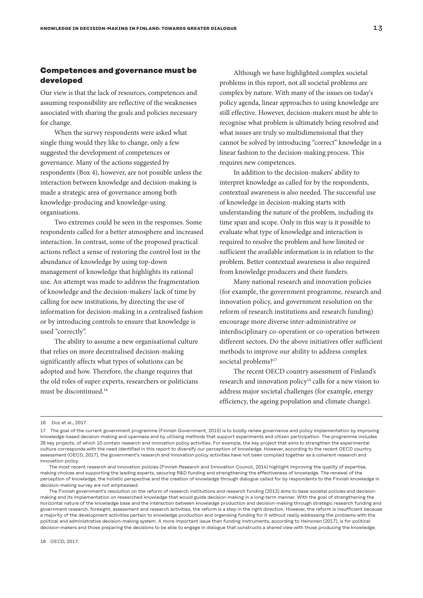# **Competences and governance must be developed**

Our view is that the lack of resources, competences and assuming responsibility are reflective of the weaknesses associated with sharing the goals and policies necessary for change.

When the survey respondents were asked what single thing would they like to change, only a few suggested the development of competences or governance. Many of the actions suggested by respondents (Box 4), however, are not possible unless the interaction between knowledge and decision-making is made a strategic area of governance among both knowledge-producing and knowledge-using organisations.

Two extremes could be seen in the responses. Some respondents called for a better atmosphere and increased interaction. In contrast, some of the proposed practical actions reflect a sense of restoring the control lost in the abundance of knowledge by using top-down management of knowledge that highlights its rational use. An attempt was made to address the fragmentation of knowledge and the decision-makers' lack of time by calling for new institutions, by directing the use of information for decision-making in a centralised fashion or by introducing controls to ensure that knowledge is used "correctly".

The ability to assume a new organisational culture that relies on more decentralised decision-making significantly affects what types of solutions can be adopted and how. Therefore, the change requires that the old roles of super experts, researchers or politicians must be discontinued.16

Although we have highlighted complex societal problems in this report, not all societal problems are complex by nature. With many of the issues on today's policy agenda, linear approaches to using knowledge are still effective. However, decision-makers must be able to recognise what problem is ultimately being resolved and what issues are truly so multidimensional that they cannot be solved by introducing "correct" knowledge in a linear fashion to the decision-making process. This requires new competences.

In addition to the decision-makers' ability to interpret knowledge as called for by the respondents, contextual awareness is also needed. The successful use of knowledge in decision-making starts with understanding the nature of the problem, including its time span and scope. Only in this way is it possible to evaluate what type of knowledge and interaction is required to resolve the problem and how limited or sufficient the available information is in relation to the problem. Better contextual awareness is also required from knowledge producers and their funders.

Many national research and innovation policies (for example, the government programme, research and innovation policy, and government resolution on the reform of research institutions and research funding) encourage more diverse inter-administrative or interdisciplinary co-operation or co-operation between different sectors. Do the above initiatives offer sufficient methods to improve our ability to address complex societal problems?<sup>17</sup>

The recent OECD country assessment of Finland's research and innovation policy<sup>18</sup> calls for a new vision to address major societal challenges (for example, energy efficiency, the ageing population and climate change).

<sup>16</sup> Doz et al., 2017.

<sup>17</sup> The goal of the current government programme (Finnish Government, 2015) is to boldly renew governance and policy implementation by improving knowledge-based decision-making and openness and by utilising methods that support experiments and citizen participation. The programme includes 26 key projects, of which 10 contain research and innovation policy activities. For example, the key project that aims to strengthen the experimental culture corresponds with the need identified in this report to diversify our perception of knowledge. However, according to the recent OECD country assessment (OECD, 2017), the government's research and innovation policy activities have not been compiled together as a coherent research and innovation policy.

The most recent research and innovation policies (Finnish Research and Innovation Council, 2014) highlight improving the quality of expertise, making choices and supporting the leading experts, securing R&D funding and strengthening the effectiveness of knowledge. The renewal of the perception of knowledge, the holistic perspective and the creation of knowledge through dialogue called for by respondents to the Finnish knowledge in decision-making survey are not emphasised.

The Finnish government's resolution on the reform of research institutions and research funding (2013) aims to base societal policies and decisionmaking and its implementation on researched knowledge that would guide decision-making in a long-term manner. With the goal of strengthening the horizontal nature of the knowledge base and the interaction between knowledge production and decision-making through strategic research funding and government research, foresight, assessment and research activities, the reform is a step in the right direction. However, the reform is insufficient because a majority of the development activities pertain to knowledge production and organising funding for it without really addressing the problems with the political and administrative decision-making system. A more important issue than funding instruments, according to Heinonen (2017), is for political decision-makers and those preparing the decisions to be able to engage in dialogue that constructs a shared view with those producing the knowledge.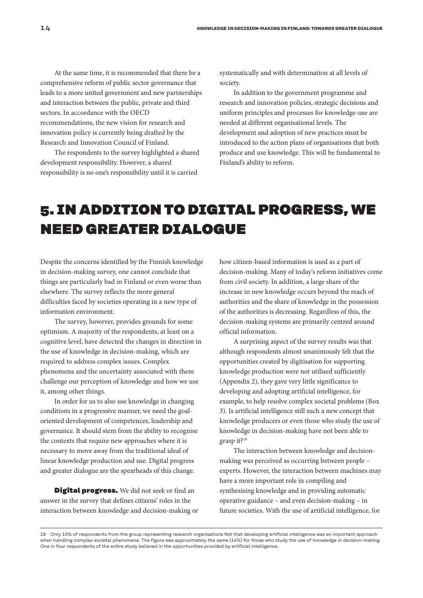At the same time, it is recommended that there be a comprehensive reform of public sector governance that leads to a more united government and new partnerships and interaction between the public, private and third sectors. In accordance with the OECD recommendations, the new vision for research and innovation policy is currently being drafted by the

The respondents to the survey highlighted a shared development responsibility. However, a shared responsibility is no one's responsibility until it is carried

Research and Innovation Council of Finland.

systematically and with determination at all levels of society.

In addition to the government programme and research and innovation policies, strategic decisions and uniform principles and processes for knowledge-use are needed at different organisational levels. The development and adoption of new practices must be introduced to the action plans of organisations that both produce and use knowledge. This will be fundamental to Finland's ability to reform.

# 5. IN ADDITION TO DIGITAL PROGRESS, WE NEED GREATER DIALOGUE

Despite the concerns identified by the Finnish knowledge in decision-making survey, one cannot conclude that things are particularly bad in Finland or even worse than elsewhere. The survey reflects the more general difficulties faced by societies operating in a new type of information environment.

The survey, however, provides grounds for some optimism. A majority of the respondents, at least on a cognitive level, have detected the changes in direction in the use of knowledge in decision-making, which are required to address complex issues. Complex phenomena and the uncertainty associated with them challenge our perception of knowledge and how we use it, among other things.

In order for us to also use knowledge in changing conditions in a progressive manner, we need the goaloriented development of competences, leadership and governance. It should stem from the ability to recognise the contexts that require new approaches where it is necessary to move away from the traditional ideal of linear knowledge production and use. Digital progress and greater dialogue are the spearheads of this change.

**Digital progress.** We did not seek or find an answer in the survey that defines citizens' roles in the interaction between knowledge and decision-making or how citizen-based information is used as a part of decision-making. Many of today's reform initiatives come from civil society. In addition, a large share of the increase in new knowledge occurs beyond the reach of authorities and the share of knowledge in the possession of the authorities is decreasing. Regardless of this, the decision-making systems are primarily centred around official information.

A surprising aspect of the survey results was that although respondents almost unanimously felt that the opportunities created by digitisation for supporting knowledge production were not utilised sufficiently (Appendix 2), they gave very little significance to developing and adopting artificial intelligence, for example, to help resolve complex societal problems (Box 3). Is artificial intelligence still such a new concept that knowledge producers or even those who study the use of knowledge in decision-making have not been able to grasp it?19

The interaction between knowledge and decisionmaking was perceived as occurring between people – experts. However, the interaction between machines may have a more important role in compiling and synthesising knowledge and in providing automatic operative guidance – and even decision-making – in future societies. With the use of artificial intelligence, for

<sup>19</sup> Only 15% of respondents from the group representing research organisations felt that developing artificial intelligence was an important approach when handling complex societal phenomena. The figure was approximately the same (14%) for those who study the use of knowledge in decision-making. One in four respondents of the entire study believed in the opportunities provided by artificial intelligence.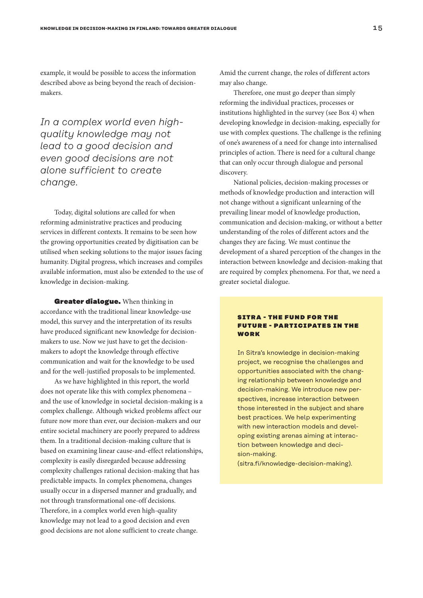example, it would be possible to access the information described above as being beyond the reach of decisionmakers.

# *In a complex world even highquality knowledge may not lead to a good decision and even good decisions are not alone sufficient to create change.*

Today, digital solutions are called for when reforming administrative practices and producing services in different contexts. It remains to be seen how the growing opportunities created by digitisation can be utilised when seeking solutions to the major issues facing humanity. Digital progress, which increases and compiles available information, must also be extended to the use of knowledge in decision-making.

Greater dialogue. When thinking in accordance with the traditional linear knowledge-use model, this survey and the interpretation of its results have produced significant new knowledge for decisionmakers to use. Now we just have to get the decisionmakers to adopt the knowledge through effective communication and wait for the knowledge to be used and for the well-justified proposals to be implemented.

As we have highlighted in this report, the world does not operate like this with complex phenomena – and the use of knowledge in societal decision-making is a complex challenge. Although wicked problems affect our future now more than ever, our decision-makers and our entire societal machinery are poorly prepared to address them. In a traditional decision-making culture that is based on examining linear cause-and-effect relationships, complexity is easily disregarded because addressing complexity challenges rational decision-making that has predictable impacts. In complex phenomena, changes usually occur in a dispersed manner and gradually, and not through transformational one-off decisions. Therefore, in a complex world even high-quality knowledge may not lead to a good decision and even good decisions are not alone sufficient to create change.

Amid the current change, the roles of different actors may also change.

Therefore, one must go deeper than simply reforming the individual practices, processes or institutions highlighted in the survey (see Box 4) when developing knowledge in decision-making, especially for use with complex questions. The challenge is the refining of one's awareness of a need for change into internalised principles of action. There is need for a cultural change that can only occur through dialogue and personal discovery.

National policies, decision-making processes or methods of knowledge production and interaction will not change without a significant unlearning of the prevailing linear model of knowledge production, communication and decision-making, or without a better understanding of the roles of different actors and the changes they are facing. We must continue the development of a shared perception of the changes in the interaction between knowledge and decision-making that are required by complex phenomena. For that, we need a greater societal dialogue.

# **SITRA - THE FUND FOR THE EUTUDE - DADTICIDATES IN THE** WORK

In Sitra's knowledge in decision-making project, we recognise the challenges and opportunities associated with the changing relationship between knowledge and decision-making. We introduce new perspectives, increase interaction between those interested in the subject and share best practices. We help experimenting with new interaction models and developing existing arenas aiming at interaction between knowledge and decision-making.

(sitra.fi/knowledge-decision-making).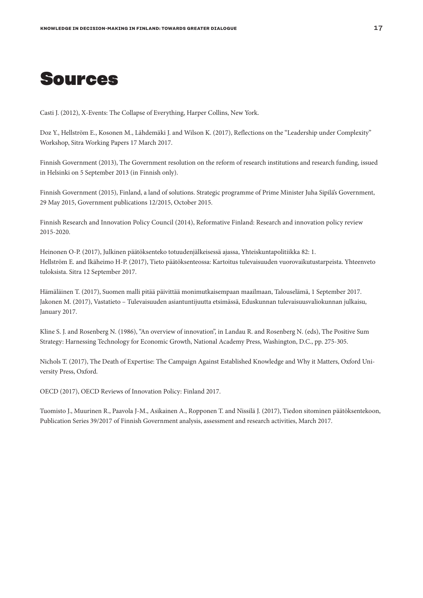

Casti J. (2012), X-Events: The Collapse of Everything, Harper Collins, New York.

Doz Y., Hellström E., Kosonen M., Lähdemäki J. and Wilson K. (2017), Reflections on the "Leadership under Complexity" Workshop, Sitra Working Papers 17 March 2017.

Finnish Government (2013), The Government resolution on the reform of research institutions and research funding, issued in Helsinki on 5 September 2013 (in Finnish only).

Finnish Government (2015), Finland, a land of solutions. Strategic programme of Prime Minister Juha Sipilä's Government, 29 May 2015, Government publications 12/2015, October 2015.

Finnish Research and Innovation Policy Council (2014), Reformative Finland: Research and innovation policy review 2015-2020.

Heinonen O-P. (2017), Julkinen päätöksenteko totuudenjälkeisessä ajassa, Yhteiskuntapolitiikka 82: 1. Hellström E. and Ikäheimo H-P. (2017), Tieto päätöksenteossa: Kartoitus tulevaisuuden vuorovaikutustarpeista. Yhteenveto tuloksista. Sitra 12 September 2017.

Hämäläinen T. (2017), Suomen malli pitää päivittää monimutkaisempaan maailmaan, Talouselämä, 1 September 2017. Jakonen M. (2017), Vastatieto – Tulevaisuuden asiantuntijuutta etsimässä, Eduskunnan tulevaisuusvaliokunnan julkaisu, January 2017.

Kline S. J. and Rosenberg N. (1986), "An overview of innovation", in Landau R. and Rosenberg N. (eds), The Positive Sum Strategy: Harnessing Technology for Economic Growth, National Academy Press, Washington, D.C., pp. 275-305.

Nichols T. (2017), The Death of Expertise: The Campaign Against Established Knowledge and Why it Matters, Oxford University Press, Oxford.

OECD (2017), OECD Reviews of Innovation Policy: Finland 2017.

Tuomisto J., Muurinen R., Paavola J-M., Asikainen A., Ropponen T. and Nissilä J. (2017), Tiedon sitominen päätöksentekoon, Publication Series 39/2017 of Finnish Government analysis, assessment and research activities, March 2017.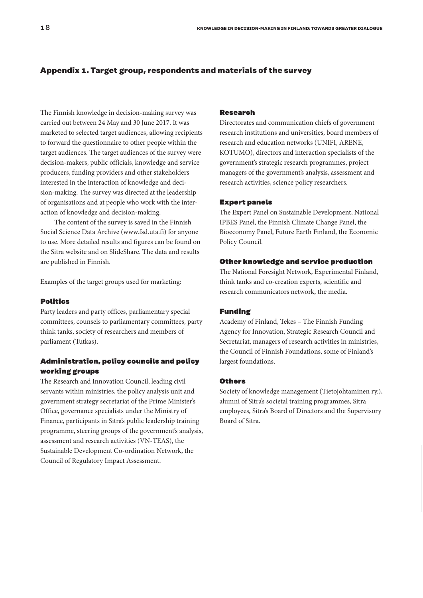# **Appendix 1. Target group, respondents and materials of the survey**

The Finnish knowledge in decision-making survey was carried out between 24 May and 30 June 2017. It was marketed to selected target audiences, allowing recipients to forward the questionnaire to other people within the target audiences. The target audiences of the survey were decision-makers, public officials, knowledge and service producers, funding providers and other stakeholders interested in the interaction of knowledge and decision-making. The survey was directed at the leadership of organisations and at people who work with the interaction of knowledge and decision-making.

The content of the survey is saved in the Finnish Social Science Data Archive (www.fsd.uta.fi) for anyone to use. More detailed results and figures can be found on the Sitra website and on SlideShare. The data and results are published in Finnish.

Examples of the target groups used for marketing:

## Politics

Party leaders and party offices, parliamentary special committees, counsels to parliamentary committees, party think tanks, society of researchers and members of parliament (Tutkas).

# Administration, policy councils and policy working groups

The Research and Innovation Council, leading civil servants within ministries, the policy analysis unit and government strategy secretariat of the Prime Minister's Office, governance specialists under the Ministry of Finance, participants in Sitra's public leadership training programme, steering groups of the government's analysis, assessment and research activities (VN-TEAS), the Sustainable Development Co-ordination Network, the Council of Regulatory Impact Assessment.

#### Research

Directorates and communication chiefs of government research institutions and universities, board members of research and education networks (UNIFI, ARENE, KOTUMO), directors and interaction specialists of the government's strategic research programmes, project managers of the government's analysis, assessment and research activities, science policy researchers.

#### Expert panels

The Expert Panel on Sustainable Development, National IPBES Panel, the Finnish Climate Change Panel, the Bioeconomy Panel, Future Earth Finland, the Economic Policy Council.

## Other knowledge and service production

The National Foresight Network, Experimental Finland, think tanks and co-creation experts, scientific and research communicators network, the media.

# Funding

Academy of Finland, Tekes – The Finnish Funding Agency for Innovation, Strategic Research Council and Secretariat, managers of research activities in ministries, the Council of Finnish Foundations, some of Finland's largest foundations.

#### **Othors**

Society of knowledge management (Tietojohtaminen ry.), alumni of Sitra's societal training programmes, Sitra employees, Sitra's Board of Directors and the Supervisory Board of Sitra.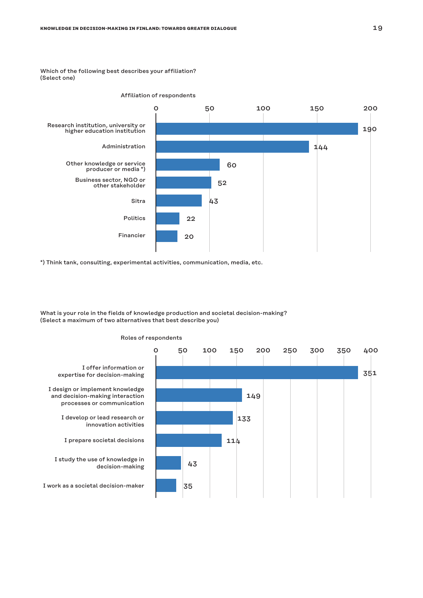Which of the following best describes your affiliation? (Select one)



\*) Think tank, consulting, experimental activities, communication, media, etc.

What is your role in the fields of knowledge production and societal decision-making? (Select a maximum of two alternatives that best describe you)



# Roles of respondents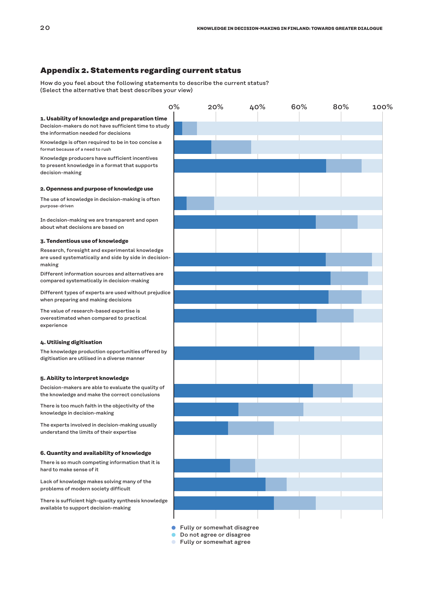# **Appendix 2. Statements regarding current status**

How do you feel about the following statements to describe the current status? (Select the alternative that best describes your view)

0% 20% 40% 60% 80% **1. Usability of knowledge and preparation time** Decision-makers do not have sufficient time to study the information needed for decisions Knowledge is often required to be in too concise a format because of a need to rush Knowledge producers have sufficient incentives to present knowledge in a format that supports decision-making **2. Openness and purpose of knowledge use** The use of knowledge in decision-making is often purpose-driven In decision-making we are transparent and open about what decisions are based on **3. Tendentious use of knowledge** Research, foresight and experimental knowledge are used systematically and side by side in decision-Different information sources and alternatives are compared systematically in decision-making Different types of experts are used without prejudice when preparing and making decisions The value of research-based expertise is overestimated when compared to practical experience **4. Utilising digitisation** The knowledge production opportunities offered by digitisation are utilised in a diverse manner **5. Ability to interpret knowledge** Decision-makers are able to evaluate the quality of the knowledge and make the correct conclusions There is too much faith in the objectivity of the knowledge in decision-making The experts involved in decision-making usually understand the limits of their expertise **6. Quantity and availability of knowledge** There is so much competing information that it is hard to make sense of it Lack of knowledge makes solving many of the problems of modern society difficult There is sufficient high-quality synthesis knowledge available to support decision-making 100%

**•** Fully or somewhat disagree

**Do not agree or disagree** 

**Fully or somewhat agree** 

making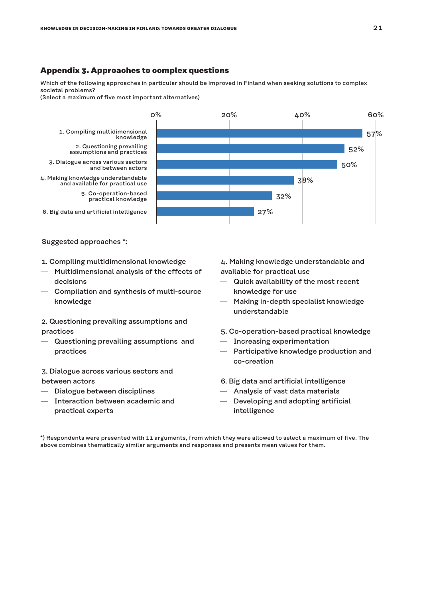# **Appendix 3. Approaches to complex questions**

Which of the following approaches in particular should be improved in Finland when seeking solutions to complex societal problems?

(Select a maximum of five most important alternatives)



## Suggested approaches \*:

- 1. Compiling multidimensional knowledge
- Multidimensional analysis of the effects of decisions
- Compilation and synthesis of multi-source knowledge
- 2. Questioning prevailing assumptions and practices
- Questioning prevailing assumptions and practices
- 3. Dialogue across various sectors and between actors
- Dialogue between disciplines
- Interaction between academic and practical experts

4. Making knowledge understandable and available for practical use

- Quick availability of the most recent knowledge for use
- Making in-depth specialist knowledge understandable
- 5. Co-operation-based practical knowledge
- Increasing experimentation
- Participative knowledge production and co-creation
- 6. Big data and artificial intelligence
- Analysis of vast data materials
- Developing and adopting artificial intelligence

\*) Respondents were presented with 11 arguments, from which they were allowed to select a maximum of five. The above combines thematically similar arguments and responses and presents mean values for them.